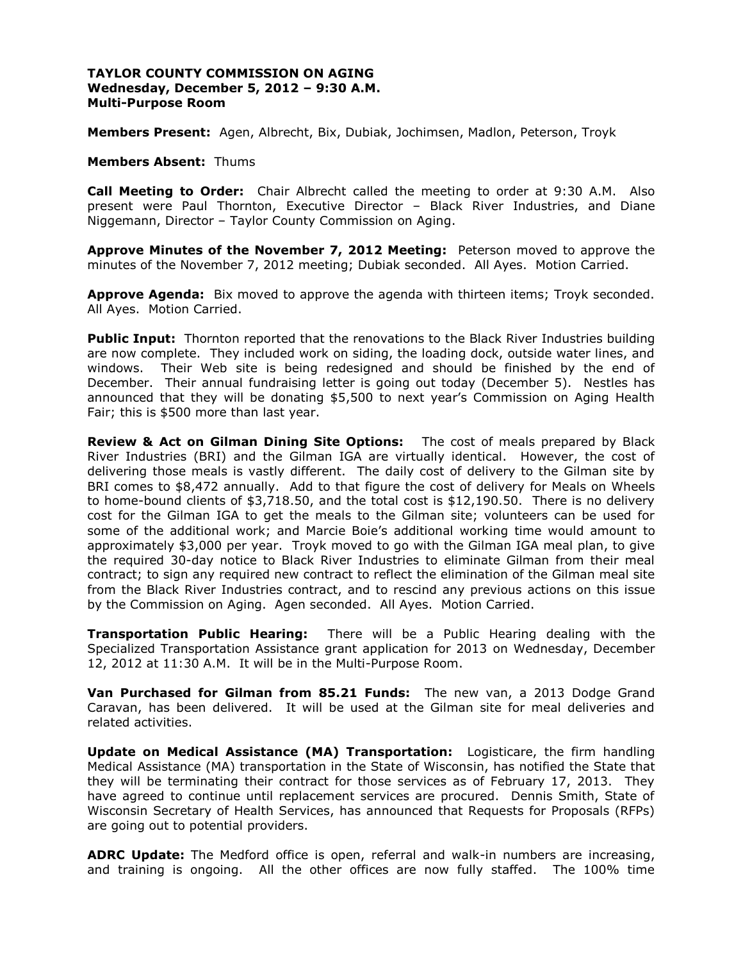## **TAYLOR COUNTY COMMISSION ON AGING Wednesday, December 5, 2012 – 9:30 A.M. Multi-Purpose Room**

**Members Present:** Agen, Albrecht, Bix, Dubiak, Jochimsen, Madlon, Peterson, Troyk

# **Members Absent:** Thums

**Call Meeting to Order:** Chair Albrecht called the meeting to order at 9:30 A.M. Also present were Paul Thornton, Executive Director – Black River Industries, and Diane Niggemann, Director – Taylor County Commission on Aging.

**Approve Minutes of the November 7, 2012 Meeting:** Peterson moved to approve the minutes of the November 7, 2012 meeting; Dubiak seconded. All Ayes. Motion Carried.

**Approve Agenda:** Bix moved to approve the agenda with thirteen items; Troyk seconded. All Ayes. Motion Carried.

**Public Input:** Thornton reported that the renovations to the Black River Industries building are now complete. They included work on siding, the loading dock, outside water lines, and windows. Their Web site is being redesigned and should be finished by the end of December. Their annual fundraising letter is going out today (December 5). Nestles has announced that they will be donating \$5,500 to next year's Commission on Aging Health Fair; this is \$500 more than last year.

**Review & Act on Gilman Dining Site Options:** The cost of meals prepared by Black River Industries (BRI) and the Gilman IGA are virtually identical. However, the cost of delivering those meals is vastly different. The daily cost of delivery to the Gilman site by BRI comes to \$8,472 annually. Add to that figure the cost of delivery for Meals on Wheels to home-bound clients of \$3,718.50, and the total cost is \$12,190.50. There is no delivery cost for the Gilman IGA to get the meals to the Gilman site; volunteers can be used for some of the additional work; and Marcie Boie's additional working time would amount to approximately \$3,000 per year. Troyk moved to go with the Gilman IGA meal plan, to give the required 30-day notice to Black River Industries to eliminate Gilman from their meal contract; to sign any required new contract to reflect the elimination of the Gilman meal site from the Black River Industries contract, and to rescind any previous actions on this issue by the Commission on Aging. Agen seconded. All Ayes. Motion Carried.

**Transportation Public Hearing:** There will be a Public Hearing dealing with the Specialized Transportation Assistance grant application for 2013 on Wednesday, December 12, 2012 at 11:30 A.M. It will be in the Multi-Purpose Room.

**Van Purchased for Gilman from 85.21 Funds:** The new van, a 2013 Dodge Grand Caravan, has been delivered. It will be used at the Gilman site for meal deliveries and related activities.

**Update on Medical Assistance (MA) Transportation:** Logisticare, the firm handling Medical Assistance (MA) transportation in the State of Wisconsin, has notified the State that they will be terminating their contract for those services as of February 17, 2013. They have agreed to continue until replacement services are procured. Dennis Smith, State of Wisconsin Secretary of Health Services, has announced that Requests for Proposals (RFPs) are going out to potential providers.

**ADRC Update:** The Medford office is open, referral and walk-in numbers are increasing, and training is ongoing. All the other offices are now fully staffed. The 100% time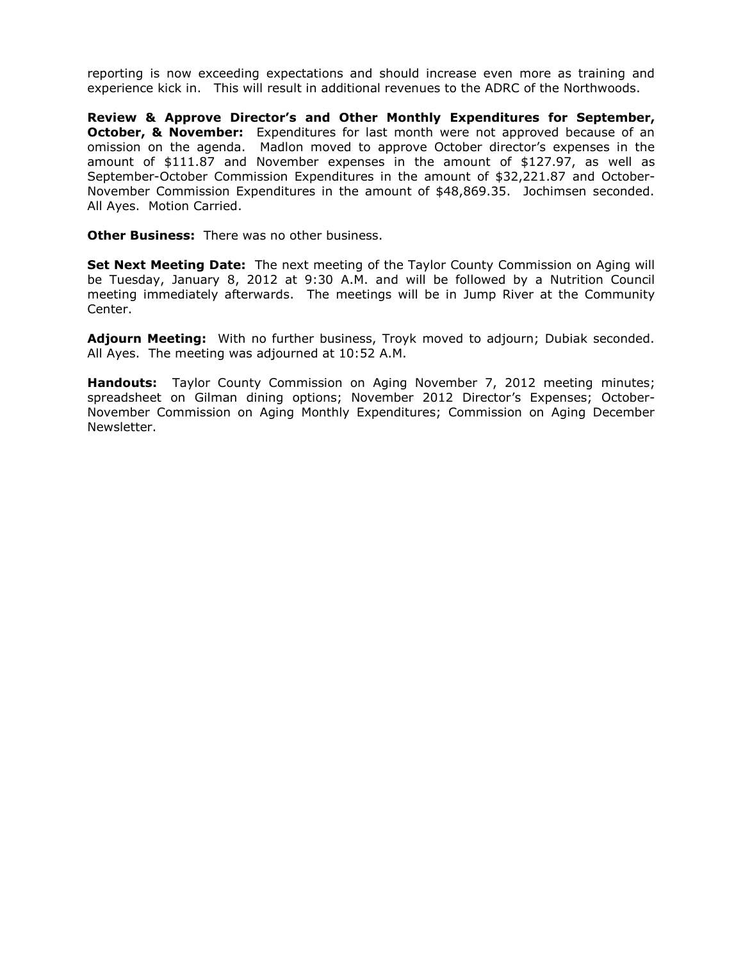reporting is now exceeding expectations and should increase even more as training and experience kick in.This will result in additional revenues to the ADRC of the Northwoods.

**Review & Approve Director's and Other Monthly Expenditures for September, October, & November:** Expenditures for last month were not approved because of an omission on the agenda. Madlon moved to approve October director's expenses in the amount of \$111.87 and November expenses in the amount of \$127.97, as well as September-October Commission Expenditures in the amount of \$32,221.87 and October-November Commission Expenditures in the amount of \$48,869.35. Jochimsen seconded. All Ayes. Motion Carried.

**Other Business:** There was no other business.

**Set Next Meeting Date:** The next meeting of the Taylor County Commission on Aging will be Tuesday, January 8, 2012 at 9:30 A.M. and will be followed by a Nutrition Council meeting immediately afterwards. The meetings will be in Jump River at the Community Center.

**Adjourn Meeting:** With no further business, Troyk moved to adjourn; Dubiak seconded. All Ayes. The meeting was adjourned at 10:52 A.M.

**Handouts:** Taylor County Commission on Aging November 7, 2012 meeting minutes; spreadsheet on Gilman dining options; November 2012 Director's Expenses; October-November Commission on Aging Monthly Expenditures; Commission on Aging December Newsletter.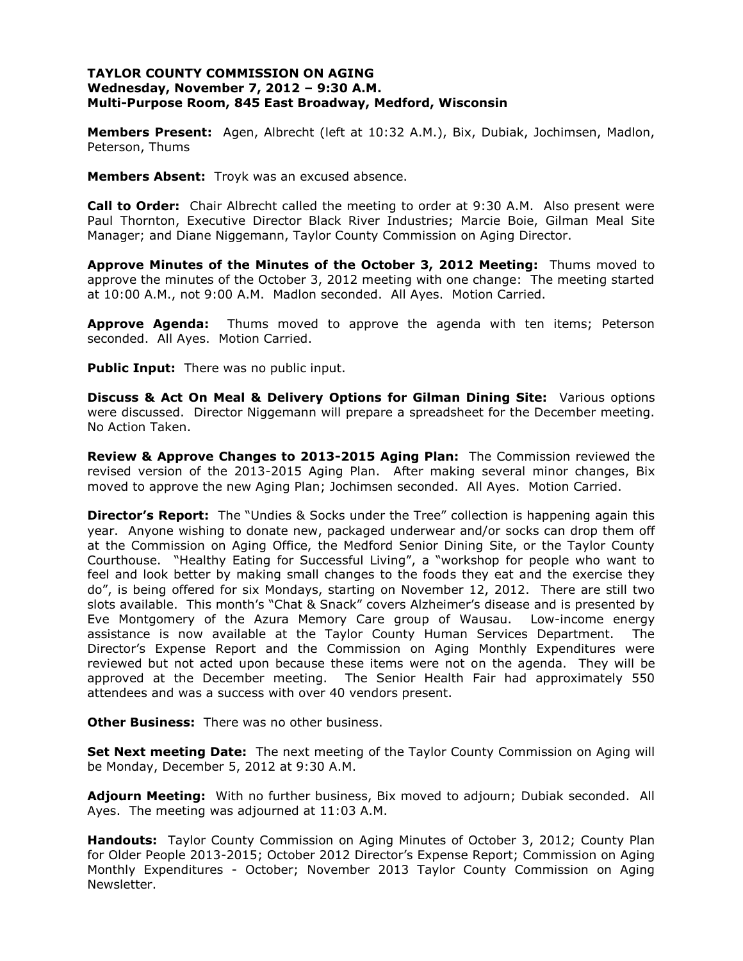## **TAYLOR COUNTY COMMISSION ON AGING Wednesday, November 7, 2012 – 9:30 A.M. Multi-Purpose Room, 845 East Broadway, Medford, Wisconsin**

**Members Present:** Agen, Albrecht (left at 10:32 A.M.), Bix, Dubiak, Jochimsen, Madlon, Peterson, Thums

**Members Absent:** Troyk was an excused absence.

**Call to Order:** Chair Albrecht called the meeting to order at 9:30 A.M. Also present were Paul Thornton, Executive Director Black River Industries; Marcie Boie, Gilman Meal Site Manager; and Diane Niggemann, Taylor County Commission on Aging Director.

**Approve Minutes of the Minutes of the October 3, 2012 Meeting:** Thums moved to approve the minutes of the October 3, 2012 meeting with one change: The meeting started at 10:00 A.M., not 9:00 A.M. Madlon seconded. All Ayes. Motion Carried.

**Approve Agenda:** Thums moved to approve the agenda with ten items; Peterson seconded. All Ayes. Motion Carried.

**Public Input:** There was no public input.

**Discuss & Act On Meal & Delivery Options for Gilman Dining Site:** Various options were discussed. Director Niggemann will prepare a spreadsheet for the December meeting. No Action Taken.

**Review & Approve Changes to 2013-2015 Aging Plan:** The Commission reviewed the revised version of the 2013-2015 Aging Plan. After making several minor changes, Bix moved to approve the new Aging Plan; Jochimsen seconded. All Ayes. Motion Carried.

**Director's Report:** The "Undies & Socks under the Tree" collection is happening again this year. Anyone wishing to donate new, packaged underwear and/or socks can drop them off at the Commission on Aging Office, the Medford Senior Dining Site, or the Taylor County Courthouse. "Healthy Eating for Successful Living", a "workshop for people who want to feel and look better by making small changes to the foods they eat and the exercise they do", is being offered for six Mondays, starting on November 12, 2012. There are still two slots available. This month's "Chat & Snack" covers Alzheimer's disease and is presented by Eve Montgomery of the Azura Memory Care group of Wausau. Low-income energy assistance is now available at the Taylor County Human Services Department. The Director's Expense Report and the Commission on Aging Monthly Expenditures were reviewed but not acted upon because these items were not on the agenda. They will be approved at the December meeting. The Senior Health Fair had approximately 550 attendees and was a success with over 40 vendors present.

**Other Business:** There was no other business.

**Set Next meeting Date:** The next meeting of the Taylor County Commission on Aging will be Monday, December 5, 2012 at 9:30 A.M.

**Adjourn Meeting:** With no further business, Bix moved to adjourn; Dubiak seconded. All Ayes. The meeting was adjourned at 11:03 A.M.

**Handouts:** Taylor County Commission on Aging Minutes of October 3, 2012; County Plan for Older People 2013-2015; October 2012 Director's Expense Report; Commission on Aging Monthly Expenditures - October; November 2013 Taylor County Commission on Aging Newsletter.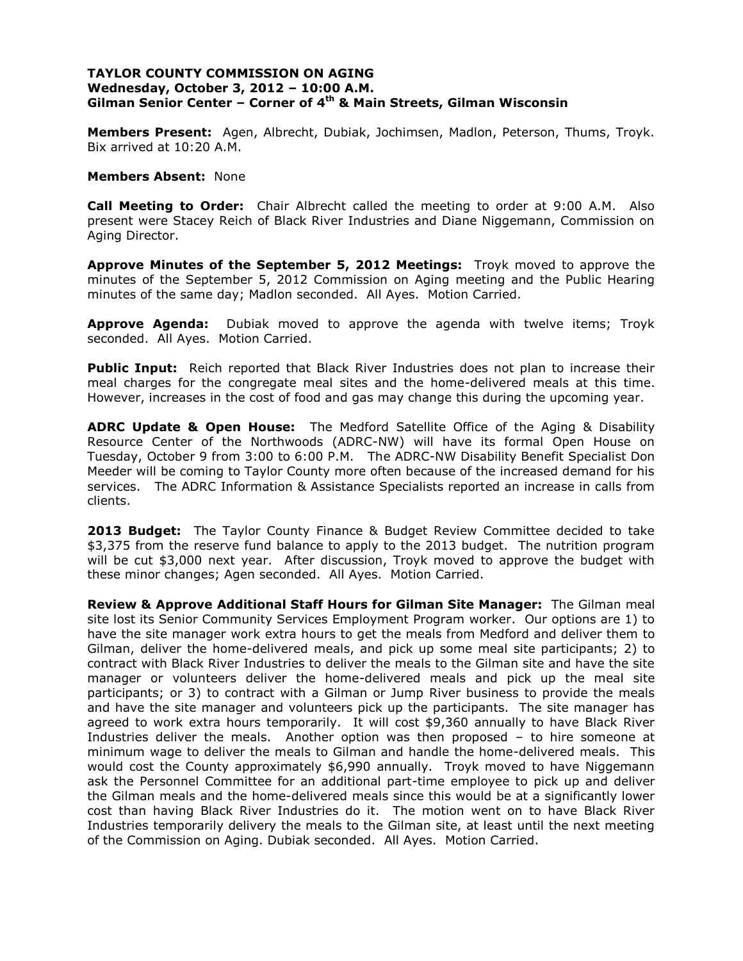## **TAYLOR COUNTY COMMISSION ON AGING Wednesday, October 3, 2012 – 10:00 A.M. Gilman Senior Center – Corner of 4th & Main Streets, Gilman Wisconsin**

**Members Present:** Agen, Albrecht, Dubiak, Jochimsen, Madlon, Peterson, Thums, Troyk. Bix arrived at 10:20 A.M.

#### **Members Absent:** None

**Call Meeting to Order:** Chair Albrecht called the meeting to order at 9:00 A.M. Also present were Stacey Reich of Black River Industries and Diane Niggemann, Commission on Aging Director.

**Approve Minutes of the September 5, 2012 Meetings:** Troyk moved to approve the minutes of the September 5, 2012 Commission on Aging meeting and the Public Hearing minutes of the same day; Madlon seconded. All Ayes. Motion Carried.

**Approve Agenda:** Dubiak moved to approve the agenda with twelve items; Troyk seconded. All Ayes. Motion Carried.

**Public Input:** Reich reported that Black River Industries does not plan to increase their meal charges for the congregate meal sites and the home-delivered meals at this time. However, increases in the cost of food and gas may change this during the upcoming year.

**ADRC Update & Open House:** The Medford Satellite Office of the Aging & Disability Resource Center of the Northwoods (ADRC-NW) will have its formal Open House on Tuesday, October 9 from 3:00 to 6:00 P.M. The ADRC-NW Disability Benefit Specialist Don Meeder will be coming to Taylor County more often because of the increased demand for his services. The ADRC Information & Assistance Specialists reported an increase in calls from clients.

**2013 Budget:** The Taylor County Finance & Budget Review Committee decided to take \$3,375 from the reserve fund balance to apply to the 2013 budget. The nutrition program will be cut \$3,000 next year. After discussion, Troyk moved to approve the budget with these minor changes; Agen seconded. All Ayes. Motion Carried.

**Review & Approve Additional Staff Hours for Gilman Site Manager:** The Gilman meal site lost its Senior Community Services Employment Program worker. Our options are 1) to have the site manager work extra hours to get the meals from Medford and deliver them to Gilman, deliver the home-delivered meals, and pick up some meal site participants; 2) to contract with Black River Industries to deliver the meals to the Gilman site and have the site manager or volunteers deliver the home-delivered meals and pick up the meal site participants; or 3) to contract with a Gilman or Jump River business to provide the meals and have the site manager and volunteers pick up the participants. The site manager has agreed to work extra hours temporarily. It will cost \$9,360 annually to have Black River Industries deliver the meals. Another option was then proposed – to hire someone at minimum wage to deliver the meals to Gilman and handle the home-delivered meals. This would cost the County approximately \$6,990 annually. Troyk moved to have Niggemann ask the Personnel Committee for an additional part-time employee to pick up and deliver the Gilman meals and the home-delivered meals since this would be at a significantly lower cost than having Black River Industries do it. The motion went on to have Black River Industries temporarily delivery the meals to the Gilman site, at least until the next meeting of the Commission on Aging. Dubiak seconded. All Ayes. Motion Carried.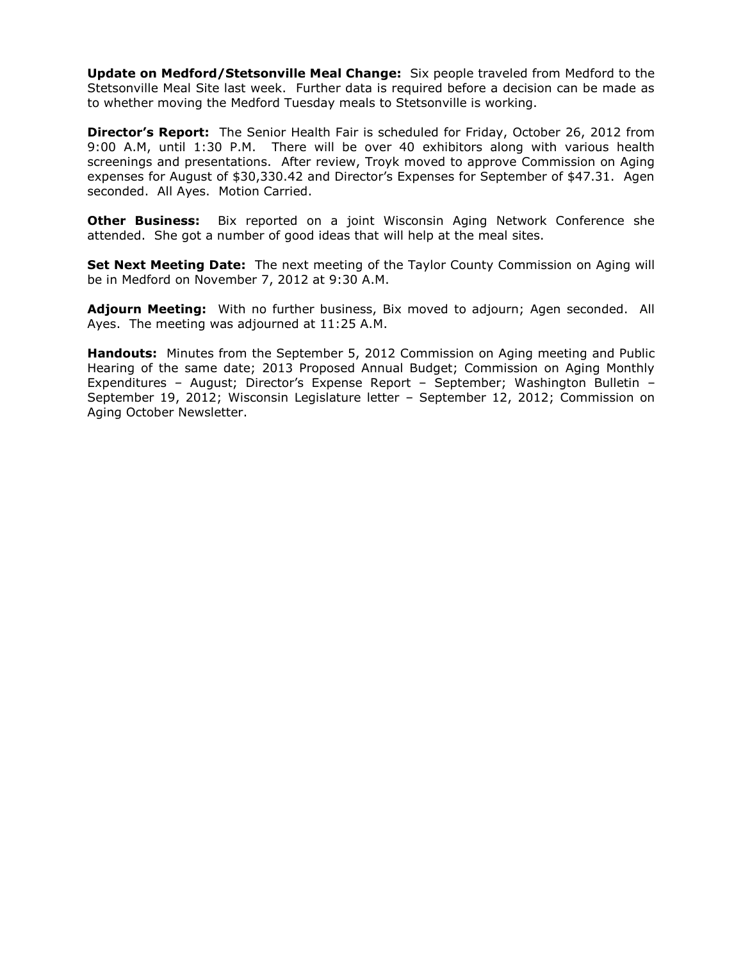**Update on Medford/Stetsonville Meal Change:** Six people traveled from Medford to the Stetsonville Meal Site last week. Further data is required before a decision can be made as to whether moving the Medford Tuesday meals to Stetsonville is working.

**Director's Report:** The Senior Health Fair is scheduled for Friday, October 26, 2012 from 9:00 A.M, until 1:30 P.M. There will be over 40 exhibitors along with various health screenings and presentations. After review, Troyk moved to approve Commission on Aging expenses for August of \$30,330.42 and Director's Expenses for September of \$47.31. Agen seconded. All Ayes. Motion Carried.

**Other Business:** Bix reported on a joint Wisconsin Aging Network Conference she attended. She got a number of good ideas that will help at the meal sites.

**Set Next Meeting Date:** The next meeting of the Taylor County Commission on Aging will be in Medford on November 7, 2012 at 9:30 A.M.

**Adjourn Meeting:** With no further business, Bix moved to adjourn; Agen seconded. All Ayes. The meeting was adjourned at 11:25 A.M.

**Handouts:** Minutes from the September 5, 2012 Commission on Aging meeting and Public Hearing of the same date; 2013 Proposed Annual Budget; Commission on Aging Monthly Expenditures – August; Director's Expense Report – September; Washington Bulletin – September 19, 2012; Wisconsin Legislature letter – September 12, 2012; Commission on Aging October Newsletter.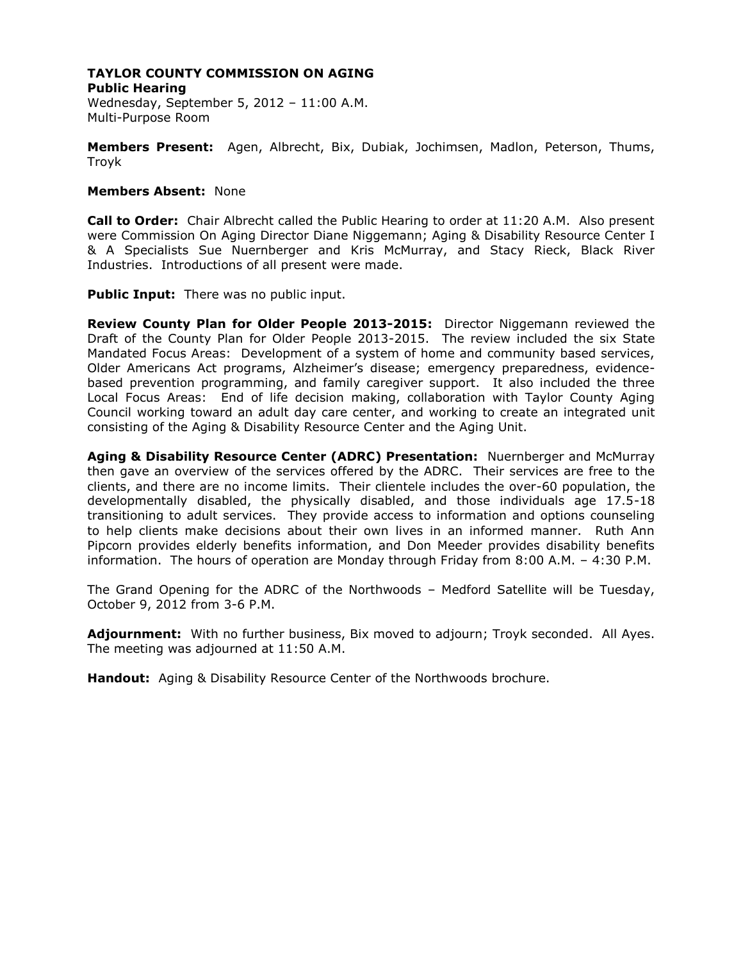**Public Hearing** Wednesday, September 5, 2012 – 11:00 A.M. Multi-Purpose Room

**Members Present:** Agen, Albrecht, Bix, Dubiak, Jochimsen, Madlon, Peterson, Thums, Troyk

# **Members Absent:** None

**Call to Order:** Chair Albrecht called the Public Hearing to order at 11:20 A.M. Also present were Commission On Aging Director Diane Niggemann; Aging & Disability Resource Center I & A Specialists Sue Nuernberger and Kris McMurray, and Stacy Rieck, Black River Industries. Introductions of all present were made.

**Public Input:** There was no public input.

**Review County Plan for Older People 2013-2015:** Director Niggemann reviewed the Draft of the County Plan for Older People 2013-2015. The review included the six State Mandated Focus Areas: Development of a system of home and community based services, Older Americans Act programs, Alzheimer's disease; emergency preparedness, evidencebased prevention programming, and family caregiver support. It also included the three Local Focus Areas: End of life decision making, collaboration with Taylor County Aging Council working toward an adult day care center, and working to create an integrated unit consisting of the Aging & Disability Resource Center and the Aging Unit.

**Aging & Disability Resource Center (ADRC) Presentation:** Nuernberger and McMurray then gave an overview of the services offered by the ADRC. Their services are free to the clients, and there are no income limits. Their clientele includes the over-60 population, the developmentally disabled, the physically disabled, and those individuals age 17.5-18 transitioning to adult services. They provide access to information and options counseling to help clients make decisions about their own lives in an informed manner. Ruth Ann Pipcorn provides elderly benefits information, and Don Meeder provides disability benefits information. The hours of operation are Monday through Friday from 8:00 A.M. – 4:30 P.M.

The Grand Opening for the ADRC of the Northwoods – Medford Satellite will be Tuesday, October 9, 2012 from 3-6 P.M.

**Adjournment:** With no further business, Bix moved to adjourn; Troyk seconded. All Ayes. The meeting was adjourned at 11:50 A.M.

**Handout:** Aging & Disability Resource Center of the Northwoods brochure.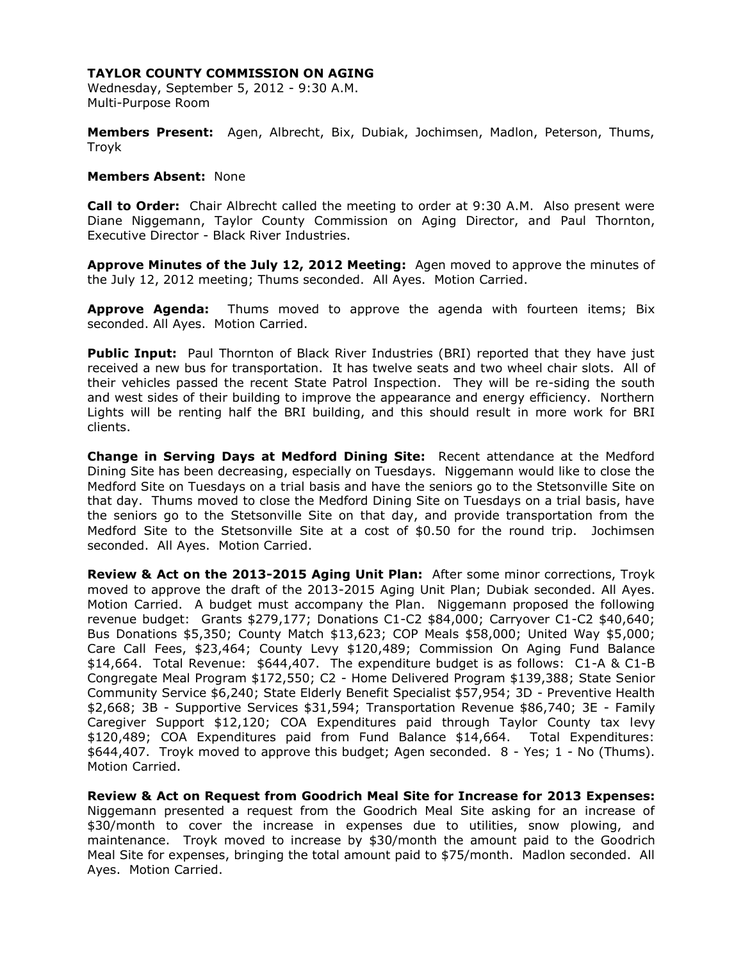Wednesday, September 5, 2012 - 9:30 A.M. Multi-Purpose Room

**Members Present:** Agen, Albrecht, Bix, Dubiak, Jochimsen, Madlon, Peterson, Thums, Troyk

#### **Members Absent:** None

**Call to Order:** Chair Albrecht called the meeting to order at 9:30 A.M. Also present were Diane Niggemann, Taylor County Commission on Aging Director, and Paul Thornton, Executive Director - Black River Industries.

**Approve Minutes of the July 12, 2012 Meeting:** Agen moved to approve the minutes of the July 12, 2012 meeting; Thums seconded. All Ayes. Motion Carried.

**Approve Agenda:** Thums moved to approve the agenda with fourteen items; Bix seconded. All Ayes. Motion Carried.

**Public Input:** Paul Thornton of Black River Industries (BRI) reported that they have just received a new bus for transportation. It has twelve seats and two wheel chair slots. All of their vehicles passed the recent State Patrol Inspection. They will be re-siding the south and west sides of their building to improve the appearance and energy efficiency. Northern Lights will be renting half the BRI building, and this should result in more work for BRI clients.

**Change in Serving Days at Medford Dining Site:** Recent attendance at the Medford Dining Site has been decreasing, especially on Tuesdays. Niggemann would like to close the Medford Site on Tuesdays on a trial basis and have the seniors go to the Stetsonville Site on that day. Thums moved to close the Medford Dining Site on Tuesdays on a trial basis, have the seniors go to the Stetsonville Site on that day, and provide transportation from the Medford Site to the Stetsonville Site at a cost of \$0.50 for the round trip. Jochimsen seconded. All Ayes. Motion Carried.

**Review & Act on the 2013-2015 Aging Unit Plan:** After some minor corrections, Troyk moved to approve the draft of the 2013-2015 Aging Unit Plan; Dubiak seconded. All Ayes. Motion Carried. A budget must accompany the Plan. Niggemann proposed the following revenue budget: Grants \$279,177; Donations C1-C2 \$84,000; Carryover C1-C2 \$40,640; Bus Donations \$5,350; County Match \$13,623; COP Meals \$58,000; United Way \$5,000; Care Call Fees, \$23,464; County Levy \$120,489; Commission On Aging Fund Balance \$14,664. Total Revenue: \$644,407. The expenditure budget is as follows: C1-A & C1-B Congregate Meal Program \$172,550; C2 - Home Delivered Program \$139,388; State Senior Community Service \$6,240; State Elderly Benefit Specialist \$57,954; 3D - Preventive Health \$2,668; 3B - Supportive Services \$31,594; Transportation Revenue \$86,740; 3E - Family Caregiver Support \$12,120; COA Expenditures paid through Taylor County tax levy \$120,489; COA Expenditures paid from Fund Balance \$14,664. Total Expenditures: \$644,407. Troyk moved to approve this budget; Agen seconded. 8 - Yes; 1 - No (Thums). Motion Carried.

**Review & Act on Request from Goodrich Meal Site for Increase for 2013 Expenses:**  Niggemann presented a request from the Goodrich Meal Site asking for an increase of \$30/month to cover the increase in expenses due to utilities, snow plowing, and maintenance. Troyk moved to increase by \$30/month the amount paid to the Goodrich Meal Site for expenses, bringing the total amount paid to \$75/month. Madlon seconded. All Ayes. Motion Carried.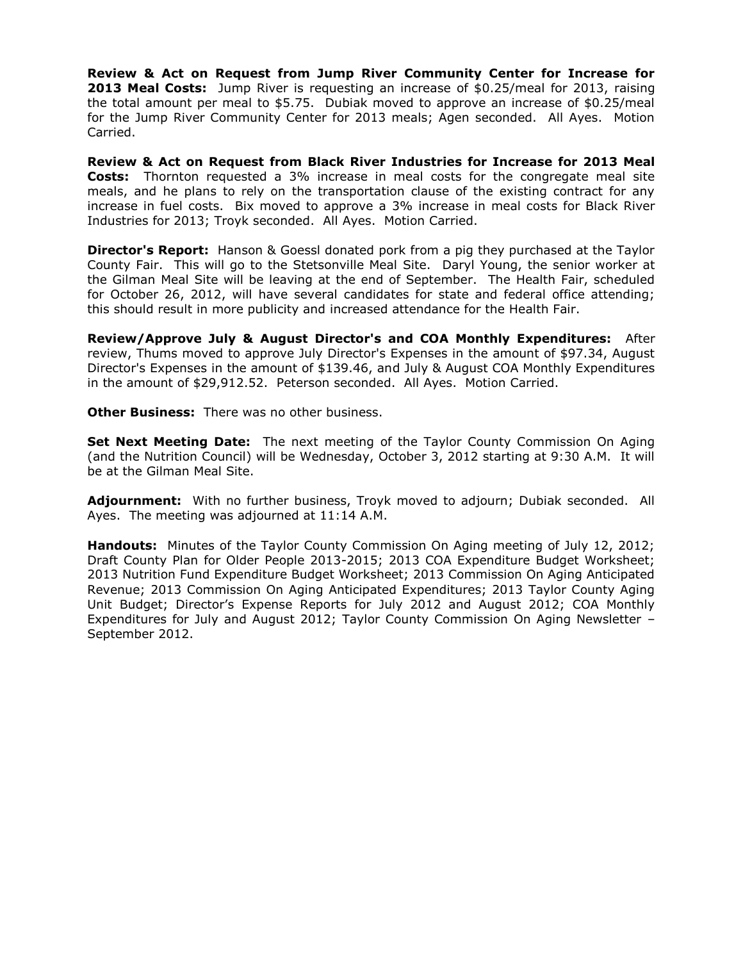**Review & Act on Request from Jump River Community Center for Increase for 2013 Meal Costs:** Jump River is requesting an increase of \$0.25/meal for 2013, raising the total amount per meal to \$5.75. Dubiak moved to approve an increase of \$0.25/meal for the Jump River Community Center for 2013 meals; Agen seconded. All Ayes. Motion Carried.

**Review & Act on Request from Black River Industries for Increase for 2013 Meal Costs:** Thornton requested a 3% increase in meal costs for the congregate meal site meals, and he plans to rely on the transportation clause of the existing contract for any increase in fuel costs. Bix moved to approve a 3% increase in meal costs for Black River Industries for 2013; Troyk seconded. All Ayes. Motion Carried.

**Director's Report:** Hanson & Goessl donated pork from a pig they purchased at the Taylor County Fair. This will go to the Stetsonville Meal Site. Daryl Young, the senior worker at the Gilman Meal Site will be leaving at the end of September. The Health Fair, scheduled for October 26, 2012, will have several candidates for state and federal office attending; this should result in more publicity and increased attendance for the Health Fair.

**Review/Approve July & August Director's and COA Monthly Expenditures:** After review, Thums moved to approve July Director's Expenses in the amount of \$97.34, August Director's Expenses in the amount of \$139.46, and July & August COA Monthly Expenditures in the amount of \$29,912.52. Peterson seconded. All Ayes. Motion Carried.

**Other Business:** There was no other business.

**Set Next Meeting Date:** The next meeting of the Taylor County Commission On Aging (and the Nutrition Council) will be Wednesday, October 3, 2012 starting at 9:30 A.M. It will be at the Gilman Meal Site.

**Adjournment:** With no further business, Troyk moved to adjourn; Dubiak seconded. All Ayes. The meeting was adjourned at 11:14 A.M.

**Handouts:** Minutes of the Taylor County Commission On Aging meeting of July 12, 2012; Draft County Plan for Older People 2013-2015; 2013 COA Expenditure Budget Worksheet; 2013 Nutrition Fund Expenditure Budget Worksheet; 2013 Commission On Aging Anticipated Revenue; 2013 Commission On Aging Anticipated Expenditures; 2013 Taylor County Aging Unit Budget; Director's Expense Reports for July 2012 and August 2012; COA Monthly Expenditures for July and August 2012; Taylor County Commission On Aging Newsletter – September 2012.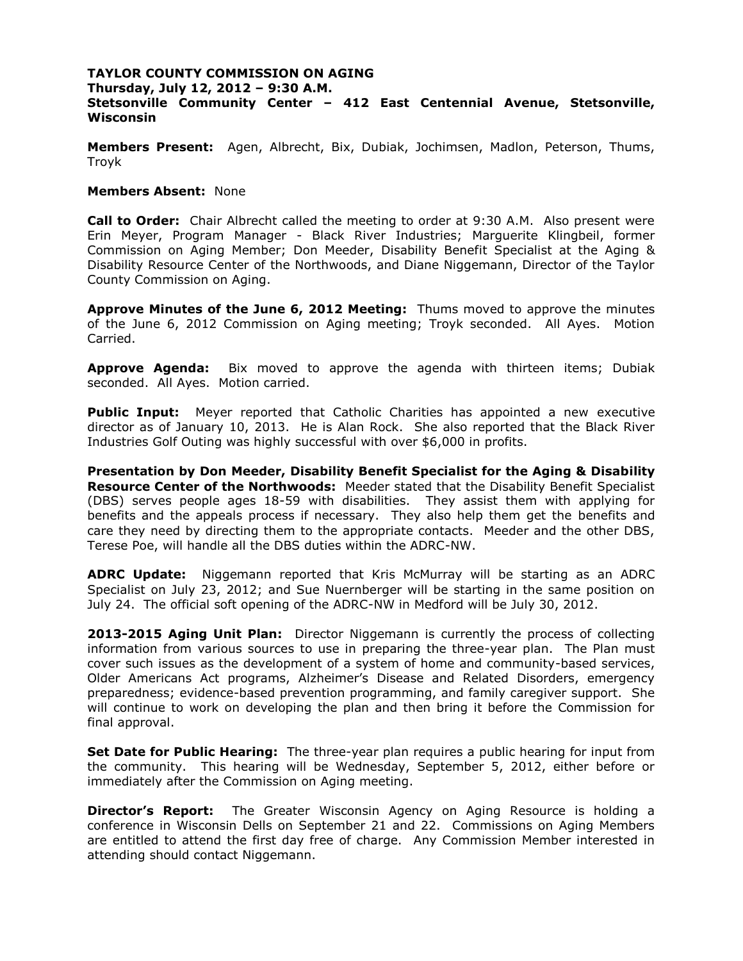**Thursday, July 12, 2012 – 9:30 A.M. Stetsonville Community Center – 412 East Centennial Avenue, Stetsonville, Wisconsin**

**Members Present:** Agen, Albrecht, Bix, Dubiak, Jochimsen, Madlon, Peterson, Thums, Troyk

## **Members Absent:** None

**Call to Order:** Chair Albrecht called the meeting to order at 9:30 A.M. Also present were Erin Meyer, Program Manager - Black River Industries; Marguerite Klingbeil, former Commission on Aging Member; Don Meeder, Disability Benefit Specialist at the Aging & Disability Resource Center of the Northwoods, and Diane Niggemann, Director of the Taylor County Commission on Aging.

**Approve Minutes of the June 6, 2012 Meeting:** Thums moved to approve the minutes of the June 6, 2012 Commission on Aging meeting; Troyk seconded. All Ayes. Motion Carried.

**Approve Agenda:** Bix moved to approve the agenda with thirteen items; Dubiak seconded. All Ayes. Motion carried.

**Public Input:** Meyer reported that Catholic Charities has appointed a new executive director as of January 10, 2013. He is Alan Rock. She also reported that the Black River Industries Golf Outing was highly successful with over \$6,000 in profits.

**Presentation by Don Meeder, Disability Benefit Specialist for the Aging & Disability Resource Center of the Northwoods:** Meeder stated that the Disability Benefit Specialist (DBS) serves people ages 18-59 with disabilities. They assist them with applying for benefits and the appeals process if necessary. They also help them get the benefits and care they need by directing them to the appropriate contacts. Meeder and the other DBS, Terese Poe, will handle all the DBS duties within the ADRC-NW.

**ADRC Update:** Niggemann reported that Kris McMurray will be starting as an ADRC Specialist on July 23, 2012; and Sue Nuernberger will be starting in the same position on July 24. The official soft opening of the ADRC-NW in Medford will be July 30, 2012.

**2013-2015 Aging Unit Plan:** Director Niggemann is currently the process of collecting information from various sources to use in preparing the three-year plan. The Plan must cover such issues as the development of a system of home and community-based services, Older Americans Act programs, Alzheimer's Disease and Related Disorders, emergency preparedness; evidence-based prevention programming, and family caregiver support. She will continue to work on developing the plan and then bring it before the Commission for final approval.

**Set Date for Public Hearing:** The three-year plan requires a public hearing for input from the community. This hearing will be Wednesday, September 5, 2012, either before or immediately after the Commission on Aging meeting.

**Director's Report:** The Greater Wisconsin Agency on Aging Resource is holding a conference in Wisconsin Dells on September 21 and 22. Commissions on Aging Members are entitled to attend the first day free of charge. Any Commission Member interested in attending should contact Niggemann.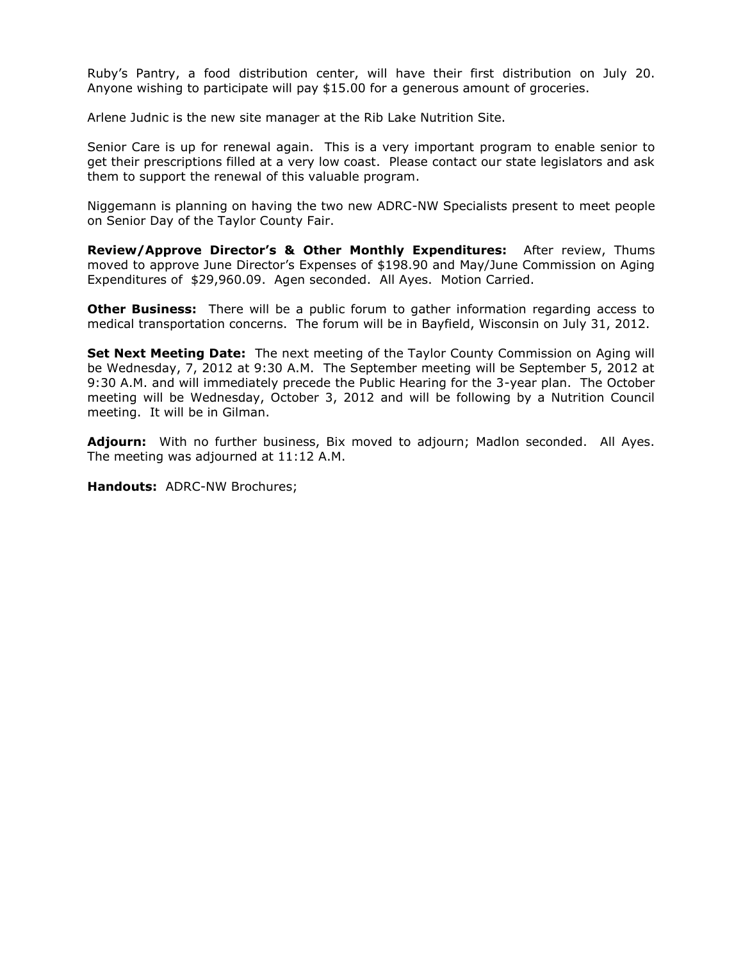Ruby's Pantry, a food distribution center, will have their first distribution on July 20. Anyone wishing to participate will pay \$15.00 for a generous amount of groceries.

Arlene Judnic is the new site manager at the Rib Lake Nutrition Site.

Senior Care is up for renewal again. This is a very important program to enable senior to get their prescriptions filled at a very low coast. Please contact our state legislators and ask them to support the renewal of this valuable program.

Niggemann is planning on having the two new ADRC-NW Specialists present to meet people on Senior Day of the Taylor County Fair.

**Review/Approve Director's & Other Monthly Expenditures:** After review, Thums moved to approve June Director's Expenses of \$198.90 and May/June Commission on Aging Expenditures of \$29,960.09. Agen seconded. All Ayes. Motion Carried.

**Other Business:** There will be a public forum to gather information regarding access to medical transportation concerns. The forum will be in Bayfield, Wisconsin on July 31, 2012.

**Set Next Meeting Date:** The next meeting of the Taylor County Commission on Aging will be Wednesday, 7, 2012 at 9:30 A.M. The September meeting will be September 5, 2012 at 9:30 A.M. and will immediately precede the Public Hearing for the 3-year plan. The October meeting will be Wednesday, October 3, 2012 and will be following by a Nutrition Council meeting. It will be in Gilman.

**Adjourn:** With no further business, Bix moved to adjourn; Madlon seconded. All Ayes. The meeting was adjourned at 11:12 A.M.

**Handouts:** ADRC-NW Brochures;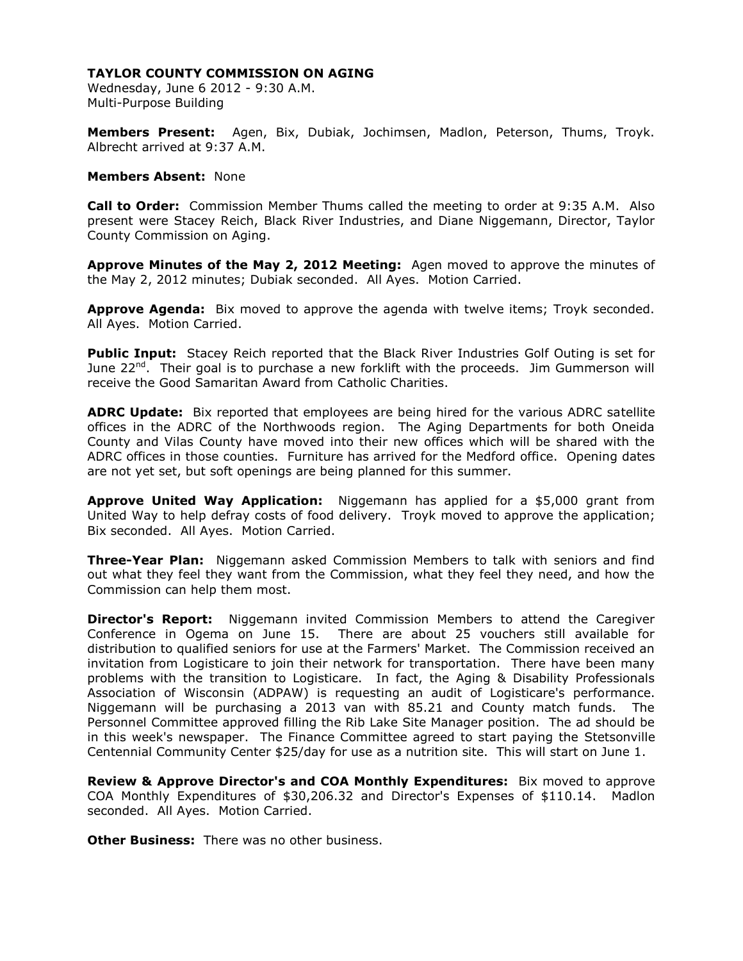Wednesday, June 6 2012 - 9:30 A.M. Multi-Purpose Building

**Members Present:** Agen, Bix, Dubiak, Jochimsen, Madlon, Peterson, Thums, Troyk. Albrecht arrived at 9:37 A.M.

#### **Members Absent:** None

**Call to Order:** Commission Member Thums called the meeting to order at 9:35 A.M. Also present were Stacey Reich, Black River Industries, and Diane Niggemann, Director, Taylor County Commission on Aging.

**Approve Minutes of the May 2, 2012 Meeting:** Agen moved to approve the minutes of the May 2, 2012 minutes; Dubiak seconded. All Ayes. Motion Carried.

**Approve Agenda:** Bix moved to approve the agenda with twelve items; Troyk seconded. All Ayes. Motion Carried.

Public Input: Stacey Reich reported that the Black River Industries Golf Outing is set for June 22<sup>nd</sup>. Their goal is to purchase a new forklift with the proceeds. Jim Gummerson will receive the Good Samaritan Award from Catholic Charities.

**ADRC Update:** Bix reported that employees are being hired for the various ADRC satellite offices in the ADRC of the Northwoods region. The Aging Departments for both Oneida County and Vilas County have moved into their new offices which will be shared with the ADRC offices in those counties. Furniture has arrived for the Medford office. Opening dates are not yet set, but soft openings are being planned for this summer.

**Approve United Way Application:** Niggemann has applied for a \$5,000 grant from United Way to help defray costs of food delivery. Troyk moved to approve the application; Bix seconded. All Ayes. Motion Carried.

**Three-Year Plan:** Niggemann asked Commission Members to talk with seniors and find out what they feel they want from the Commission, what they feel they need, and how the Commission can help them most.

**Director's Report:** Niggemann invited Commission Members to attend the Caregiver Conference in Ogema on June 15. There are about 25 vouchers still available for distribution to qualified seniors for use at the Farmers' Market. The Commission received an invitation from Logisticare to join their network for transportation. There have been many problems with the transition to Logisticare. In fact, the Aging & Disability Professionals Association of Wisconsin (ADPAW) is requesting an audit of Logisticare's performance. Niggemann will be purchasing a 2013 van with 85.21 and County match funds. The Personnel Committee approved filling the Rib Lake Site Manager position. The ad should be in this week's newspaper. The Finance Committee agreed to start paying the Stetsonville Centennial Community Center \$25/day for use as a nutrition site. This will start on June 1.

**Review & Approve Director's and COA Monthly Expenditures:** Bix moved to approve COA Monthly Expenditures of \$30,206.32 and Director's Expenses of \$110.14. Madlon seconded. All Ayes. Motion Carried.

**Other Business:** There was no other business.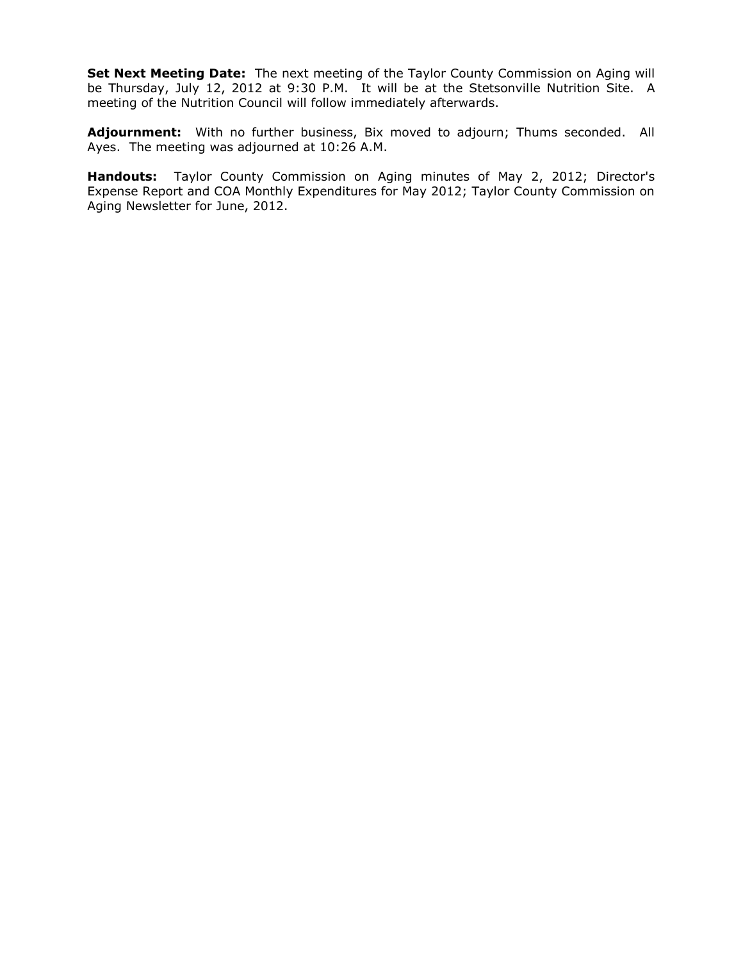**Set Next Meeting Date:** The next meeting of the Taylor County Commission on Aging will be Thursday, July 12, 2012 at 9:30 P.M. It will be at the Stetsonville Nutrition Site. A meeting of the Nutrition Council will follow immediately afterwards.

Adjournment: With no further business, Bix moved to adjourn; Thums seconded. All Ayes. The meeting was adjourned at 10:26 A.M.

**Handouts:** Taylor County Commission on Aging minutes of May 2, 2012; Director's Expense Report and COA Monthly Expenditures for May 2012; Taylor County Commission on Aging Newsletter for June, 2012.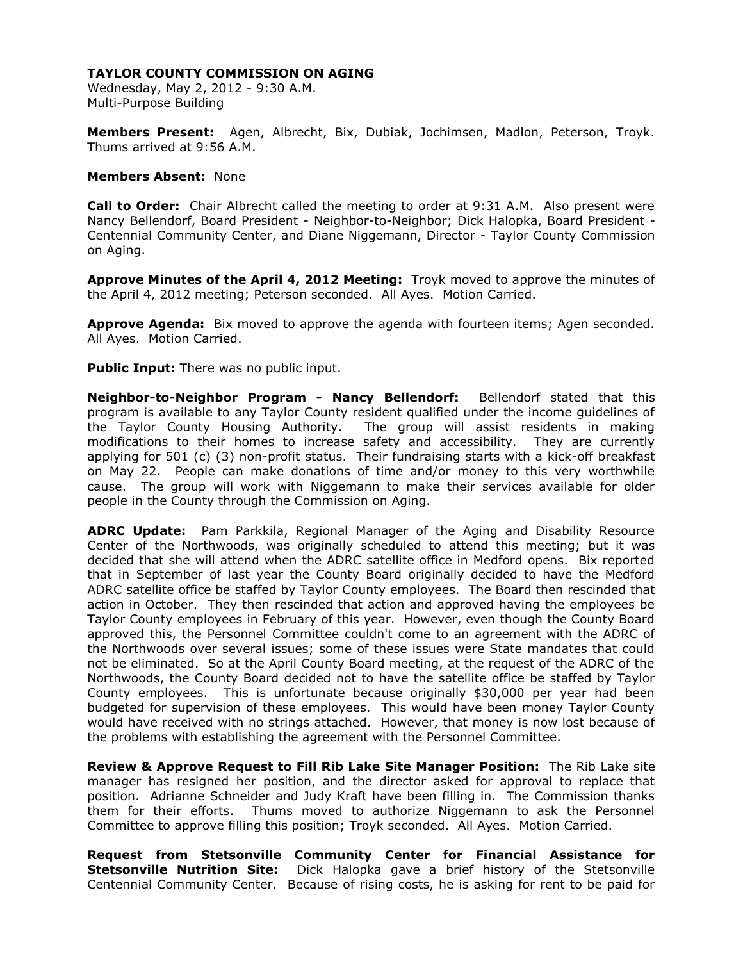Wednesday, May 2, 2012 - 9:30 A.M. Multi-Purpose Building

**Members Present:** Agen, Albrecht, Bix, Dubiak, Jochimsen, Madlon, Peterson, Troyk. Thums arrived at 9:56 A.M.

#### **Members Absent:** None

**Call to Order:** Chair Albrecht called the meeting to order at 9:31 A.M. Also present were Nancy Bellendorf, Board President - Neighbor-to-Neighbor; Dick Halopka, Board President - Centennial Community Center, and Diane Niggemann, Director - Taylor County Commission on Aging.

**Approve Minutes of the April 4, 2012 Meeting:** Troyk moved to approve the minutes of the April 4, 2012 meeting; Peterson seconded. All Ayes. Motion Carried.

**Approve Agenda:** Bix moved to approve the agenda with fourteen items; Agen seconded. All Ayes. Motion Carried.

**Public Input:** There was no public input.

**Neighbor-to-Neighbor Program - Nancy Bellendorf:** Bellendorf stated that this program is available to any Taylor County resident qualified under the income guidelines of the Taylor County Housing Authority. The group will assist residents in making modifications to their homes to increase safety and accessibility. They are currently applying for 501 (c) (3) non-profit status. Their fundraising starts with a kick-off breakfast on May 22. People can make donations of time and/or money to this very worthwhile cause. The group will work with Niggemann to make their services available for older people in the County through the Commission on Aging.

**ADRC Update:** Pam Parkkila, Regional Manager of the Aging and Disability Resource Center of the Northwoods, was originally scheduled to attend this meeting; but it was decided that she will attend when the ADRC satellite office in Medford opens. Bix reported that in September of last year the County Board originally decided to have the Medford ADRC satellite office be staffed by Taylor County employees. The Board then rescinded that action in October. They then rescinded that action and approved having the employees be Taylor County employees in February of this year. However, even though the County Board approved this, the Personnel Committee couldn't come to an agreement with the ADRC of the Northwoods over several issues; some of these issues were State mandates that could not be eliminated. So at the April County Board meeting, at the request of the ADRC of the Northwoods, the County Board decided not to have the satellite office be staffed by Taylor County employees. This is unfortunate because originally \$30,000 per year had been budgeted for supervision of these employees. This would have been money Taylor County would have received with no strings attached. However, that money is now lost because of the problems with establishing the agreement with the Personnel Committee.

**Review & Approve Request to Fill Rib Lake Site Manager Position:** The Rib Lake site manager has resigned her position, and the director asked for approval to replace that position. Adrianne Schneider and Judy Kraft have been filling in. The Commission thanks them for their efforts. Thums moved to authorize Niggemann to ask the Personnel Committee to approve filling this position; Troyk seconded. All Ayes. Motion Carried.

**Request from Stetsonville Community Center for Financial Assistance for Stetsonville Nutrition Site:** Dick Halopka gave a brief history of the Stetsonville Centennial Community Center. Because of rising costs, he is asking for rent to be paid for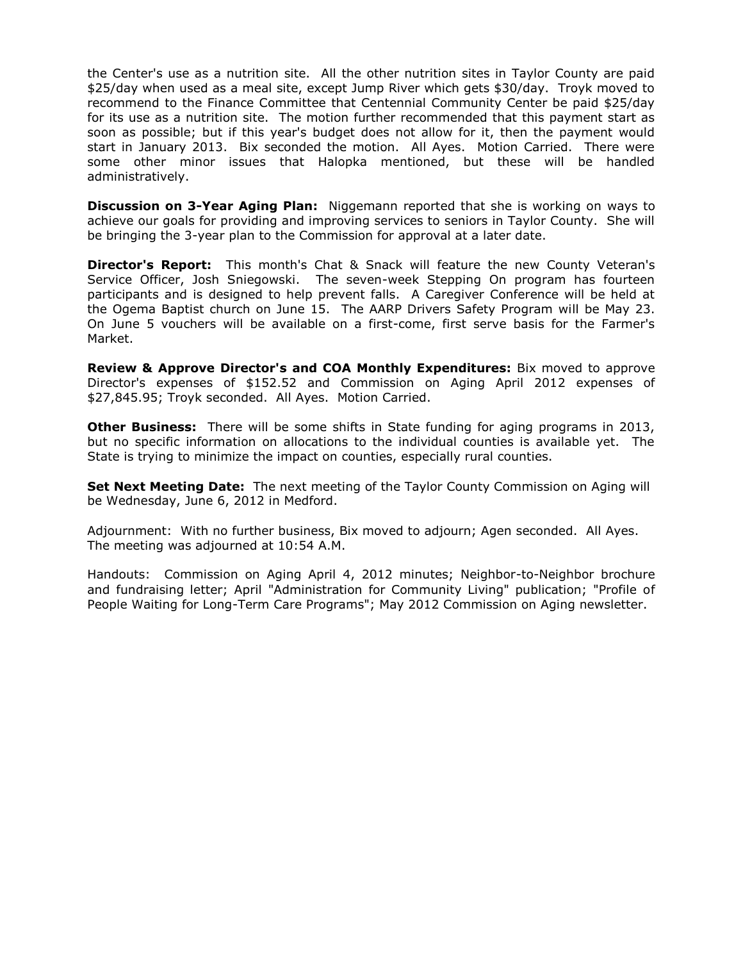the Center's use as a nutrition site. All the other nutrition sites in Taylor County are paid \$25/day when used as a meal site, except Jump River which gets \$30/day. Troyk moved to recommend to the Finance Committee that Centennial Community Center be paid \$25/day for its use as a nutrition site. The motion further recommended that this payment start as soon as possible; but if this year's budget does not allow for it, then the payment would start in January 2013. Bix seconded the motion. All Ayes. Motion Carried. There were some other minor issues that Halopka mentioned, but these will be handled administratively.

**Discussion on 3-Year Aging Plan:** Niggemann reported that she is working on ways to achieve our goals for providing and improving services to seniors in Taylor County. She will be bringing the 3-year plan to the Commission for approval at a later date.

**Director's Report:** This month's Chat & Snack will feature the new County Veteran's Service Officer, Josh Sniegowski. The seven-week Stepping On program has fourteen participants and is designed to help prevent falls. A Caregiver Conference will be held at the Ogema Baptist church on June 15. The AARP Drivers Safety Program will be May 23. On June 5 vouchers will be available on a first-come, first serve basis for the Farmer's Market.

**Review & Approve Director's and COA Monthly Expenditures:** Bix moved to approve Director's expenses of \$152.52 and Commission on Aging April 2012 expenses of \$27,845.95; Troyk seconded. All Ayes. Motion Carried.

**Other Business:** There will be some shifts in State funding for aging programs in 2013, but no specific information on allocations to the individual counties is available yet. The State is trying to minimize the impact on counties, especially rural counties.

**Set Next Meeting Date:** The next meeting of the Taylor County Commission on Aging will be Wednesday, June 6, 2012 in Medford.

Adjournment: With no further business, Bix moved to adjourn; Agen seconded. All Ayes. The meeting was adjourned at 10:54 A.M.

Handouts: Commission on Aging April 4, 2012 minutes; Neighbor-to-Neighbor brochure and fundraising letter; April "Administration for Community Living" publication; "Profile of People Waiting for Long-Term Care Programs"; May 2012 Commission on Aging newsletter.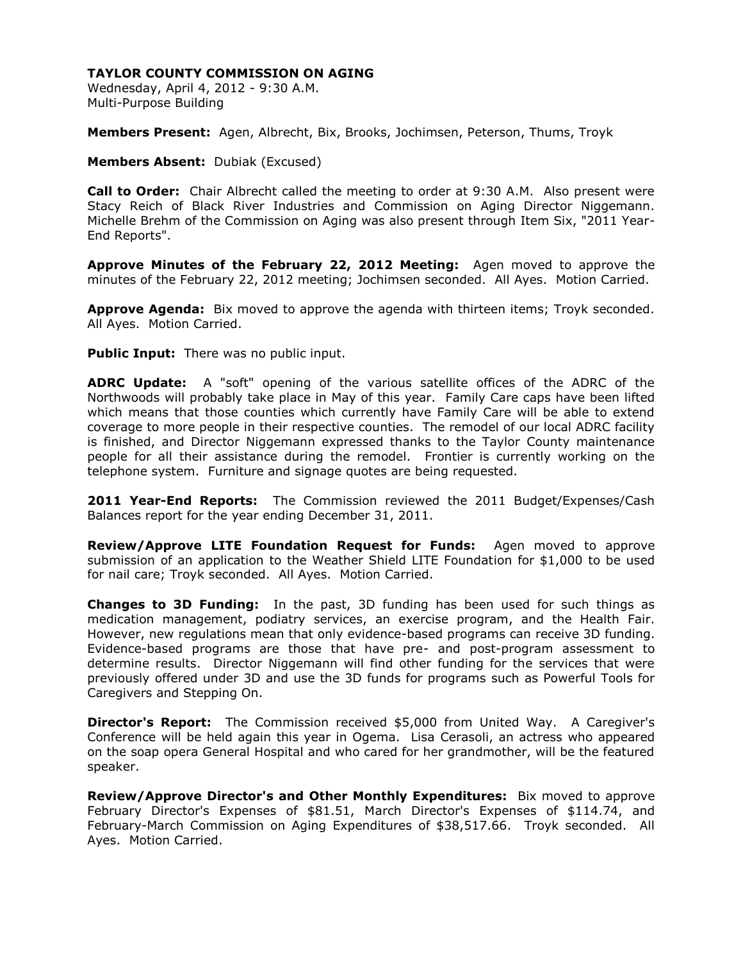Wednesday, April 4, 2012 - 9:30 A.M. Multi-Purpose Building

**Members Present:** Agen, Albrecht, Bix, Brooks, Jochimsen, Peterson, Thums, Troyk

**Members Absent:** Dubiak (Excused)

**Call to Order:** Chair Albrecht called the meeting to order at 9:30 A.M. Also present were Stacy Reich of Black River Industries and Commission on Aging Director Niggemann. Michelle Brehm of the Commission on Aging was also present through Item Six, "2011 Year-End Reports".

**Approve Minutes of the February 22, 2012 Meeting:** Agen moved to approve the minutes of the February 22, 2012 meeting; Jochimsen seconded. All Ayes. Motion Carried.

**Approve Agenda:** Bix moved to approve the agenda with thirteen items; Troyk seconded. All Ayes. Motion Carried.

**Public Input:** There was no public input.

**ADRC Update:** A "soft" opening of the various satellite offices of the ADRC of the Northwoods will probably take place in May of this year. Family Care caps have been lifted which means that those counties which currently have Family Care will be able to extend coverage to more people in their respective counties. The remodel of our local ADRC facility is finished, and Director Niggemann expressed thanks to the Taylor County maintenance people for all their assistance during the remodel. Frontier is currently working on the telephone system. Furniture and signage quotes are being requested.

**2011 Year-End Reports:** The Commission reviewed the 2011 Budget/Expenses/Cash Balances report for the year ending December 31, 2011.

**Review/Approve LITE Foundation Request for Funds:** Agen moved to approve submission of an application to the Weather Shield LITE Foundation for \$1,000 to be used for nail care; Troyk seconded. All Ayes. Motion Carried.

**Changes to 3D Funding:** In the past, 3D funding has been used for such things as medication management, podiatry services, an exercise program, and the Health Fair. However, new regulations mean that only evidence-based programs can receive 3D funding. Evidence-based programs are those that have pre- and post-program assessment to determine results. Director Niggemann will find other funding for the services that were previously offered under 3D and use the 3D funds for programs such as Powerful Tools for Caregivers and Stepping On.

**Director's Report:** The Commission received \$5,000 from United Way. A Caregiver's Conference will be held again this year in Ogema. Lisa Cerasoli, an actress who appeared on the soap opera General Hospital and who cared for her grandmother, will be the featured speaker.

**Review/Approve Director's and Other Monthly Expenditures:** Bix moved to approve February Director's Expenses of \$81.51, March Director's Expenses of \$114.74, and February-March Commission on Aging Expenditures of \$38,517.66. Troyk seconded. All Ayes. Motion Carried.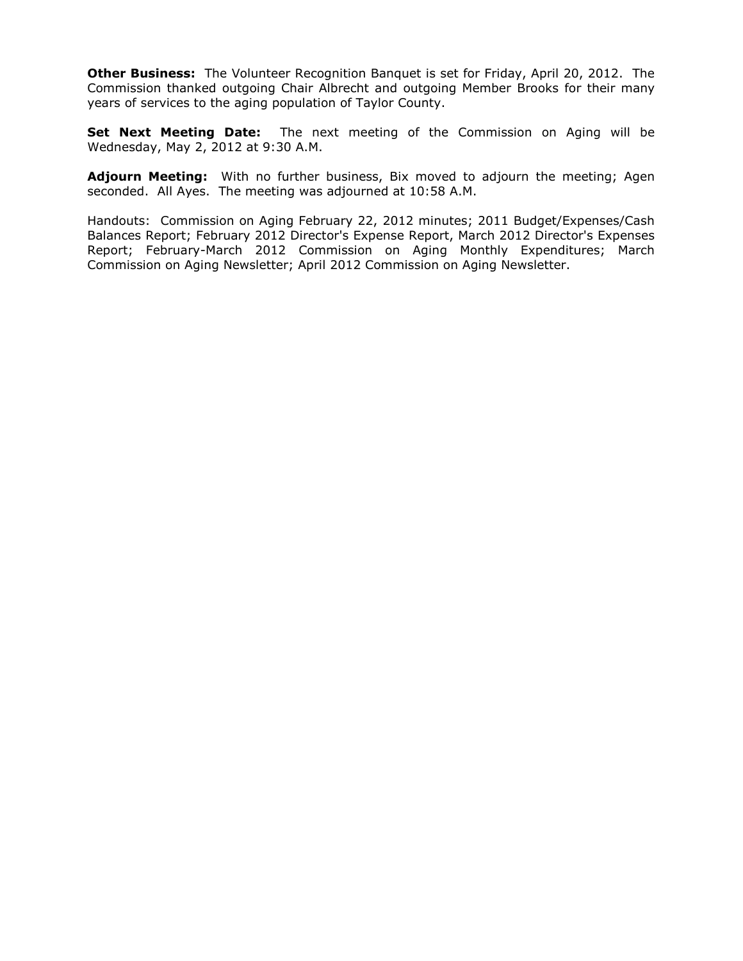**Other Business:** The Volunteer Recognition Banquet is set for Friday, April 20, 2012. The Commission thanked outgoing Chair Albrecht and outgoing Member Brooks for their many years of services to the aging population of Taylor County.

**Set Next Meeting Date:** The next meeting of the Commission on Aging will be Wednesday, May 2, 2012 at 9:30 A.M.

**Adjourn Meeting:** With no further business, Bix moved to adjourn the meeting; Agen seconded. All Ayes. The meeting was adjourned at 10:58 A.M.

Handouts: Commission on Aging February 22, 2012 minutes; 2011 Budget/Expenses/Cash Balances Report; February 2012 Director's Expense Report, March 2012 Director's Expenses Report; February-March 2012 Commission on Aging Monthly Expenditures; March Commission on Aging Newsletter; April 2012 Commission on Aging Newsletter.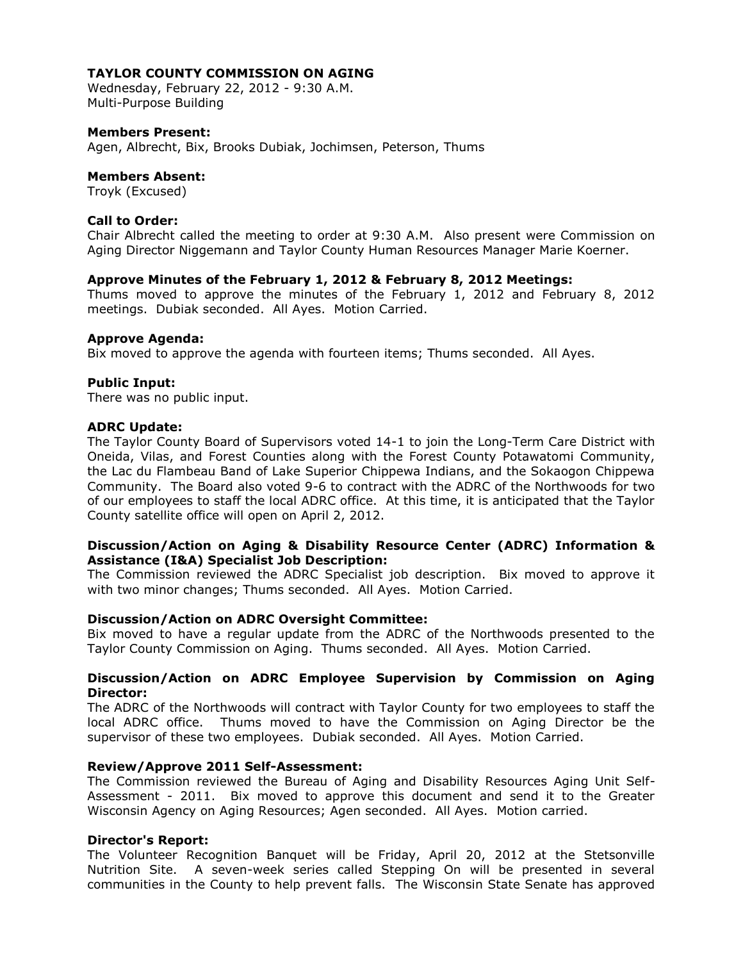Wednesday, February 22, 2012 - 9:30 A.M. Multi-Purpose Building

## **Members Present:**

Agen, Albrecht, Bix, Brooks Dubiak, Jochimsen, Peterson, Thums

#### **Members Absent:**

Troyk (Excused)

## **Call to Order:**

Chair Albrecht called the meeting to order at 9:30 A.M. Also present were Commission on Aging Director Niggemann and Taylor County Human Resources Manager Marie Koerner.

## **Approve Minutes of the February 1, 2012 & February 8, 2012 Meetings:**

Thums moved to approve the minutes of the February 1, 2012 and February 8, 2012 meetings. Dubiak seconded. All Ayes. Motion Carried.

## **Approve Agenda:**

Bix moved to approve the agenda with fourteen items; Thums seconded. All Ayes.

## **Public Input:**

There was no public input.

## **ADRC Update:**

The Taylor County Board of Supervisors voted 14-1 to join the Long-Term Care District with Oneida, Vilas, and Forest Counties along with the Forest County Potawatomi Community, the Lac du Flambeau Band of Lake Superior Chippewa Indians, and the Sokaogon Chippewa Community. The Board also voted 9-6 to contract with the ADRC of the Northwoods for two of our employees to staff the local ADRC office. At this time, it is anticipated that the Taylor County satellite office will open on April 2, 2012.

## **Discussion/Action on Aging & Disability Resource Center (ADRC) Information & Assistance (I&A) Specialist Job Description:**

The Commission reviewed the ADRC Specialist job description. Bix moved to approve it with two minor changes; Thums seconded. All Ayes. Motion Carried.

# **Discussion/Action on ADRC Oversight Committee:**

Bix moved to have a regular update from the ADRC of the Northwoods presented to the Taylor County Commission on Aging. Thums seconded. All Ayes. Motion Carried.

# **Discussion/Action on ADRC Employee Supervision by Commission on Aging Director:**

The ADRC of the Northwoods will contract with Taylor County for two employees to staff the local ADRC office. Thums moved to have the Commission on Aging Director be the supervisor of these two employees. Dubiak seconded. All Ayes. Motion Carried.

#### **Review/Approve 2011 Self-Assessment:**

The Commission reviewed the Bureau of Aging and Disability Resources Aging Unit Self-Assessment - 2011. Bix moved to approve this document and send it to the Greater Wisconsin Agency on Aging Resources; Agen seconded. All Ayes. Motion carried.

#### **Director's Report:**

The Volunteer Recognition Banquet will be Friday, April 20, 2012 at the Stetsonville Nutrition Site. A seven-week series called Stepping On will be presented in several communities in the County to help prevent falls. The Wisconsin State Senate has approved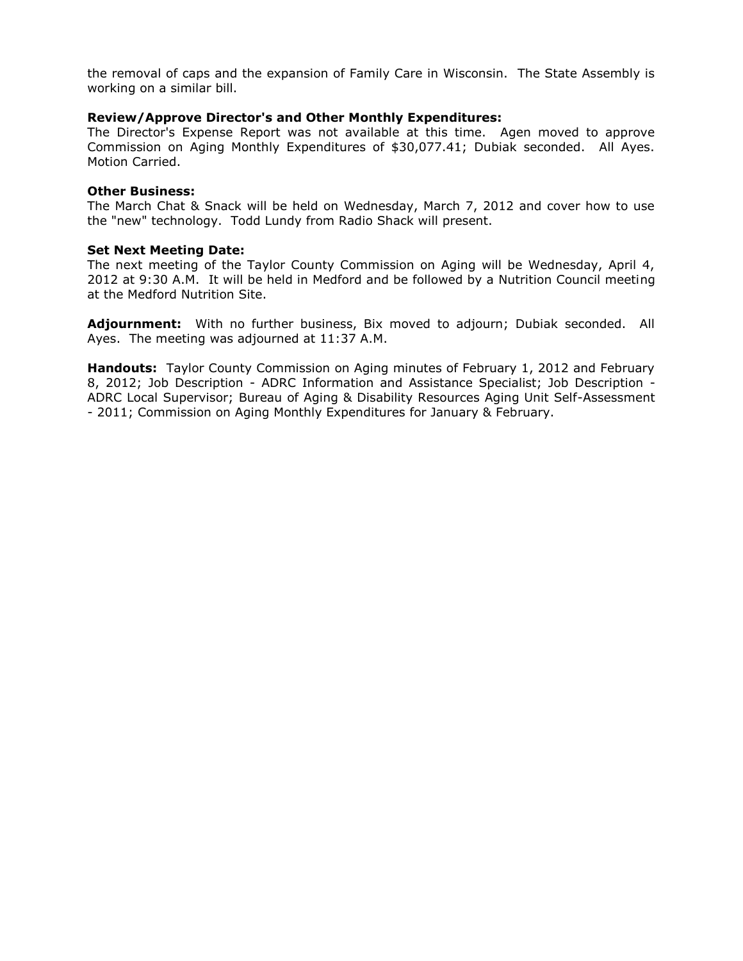the removal of caps and the expansion of Family Care in Wisconsin. The State Assembly is working on a similar bill.

## **Review/Approve Director's and Other Monthly Expenditures:**

The Director's Expense Report was not available at this time. Agen moved to approve Commission on Aging Monthly Expenditures of \$30,077.41; Dubiak seconded. All Ayes. Motion Carried.

#### **Other Business:**

The March Chat & Snack will be held on Wednesday, March 7, 2012 and cover how to use the "new" technology. Todd Lundy from Radio Shack will present.

## **Set Next Meeting Date:**

The next meeting of the Taylor County Commission on Aging will be Wednesday, April 4, 2012 at 9:30 A.M. It will be held in Medford and be followed by a Nutrition Council meeting at the Medford Nutrition Site.

**Adjournment:** With no further business, Bix moved to adjourn; Dubiak seconded. All Ayes. The meeting was adjourned at 11:37 A.M.

**Handouts:** Taylor County Commission on Aging minutes of February 1, 2012 and February 8, 2012; Job Description - ADRC Information and Assistance Specialist; Job Description - ADRC Local Supervisor; Bureau of Aging & Disability Resources Aging Unit Self-Assessment - 2011; Commission on Aging Monthly Expenditures for January & February.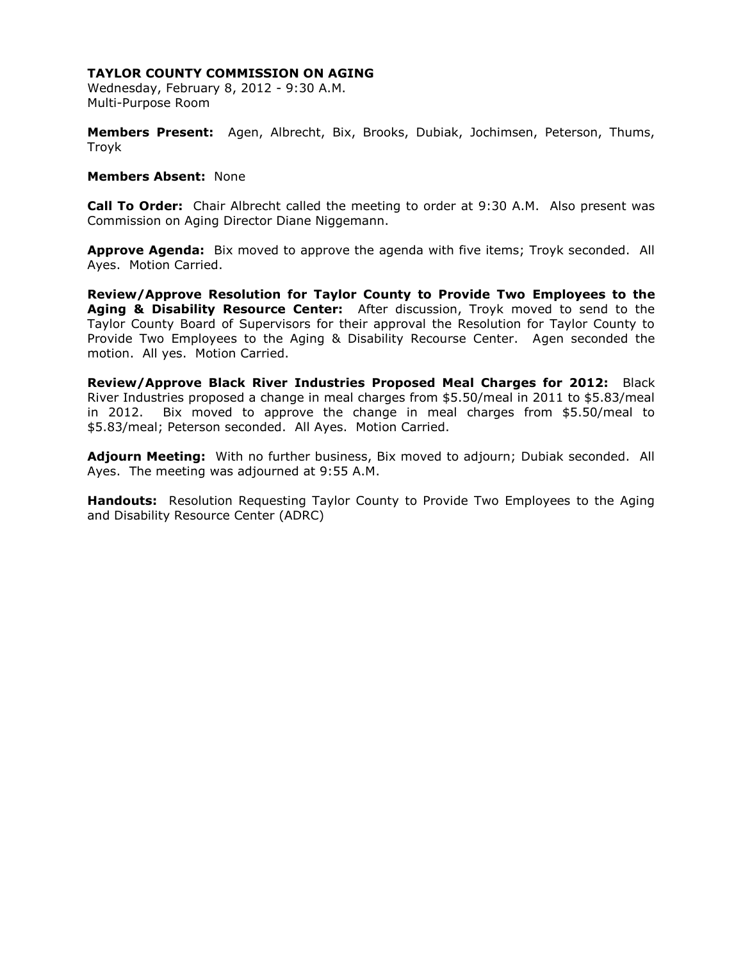Wednesday, February 8, 2012 - 9:30 A.M. Multi-Purpose Room

**Members Present:** Agen, Albrecht, Bix, Brooks, Dubiak, Jochimsen, Peterson, Thums, Troyk

#### **Members Absent:** None

**Call To Order:** Chair Albrecht called the meeting to order at 9:30 A.M. Also present was Commission on Aging Director Diane Niggemann.

**Approve Agenda:** Bix moved to approve the agenda with five items; Troyk seconded. All Ayes. Motion Carried.

**Review/Approve Resolution for Taylor County to Provide Two Employees to the Aging & Disability Resource Center:** After discussion, Troyk moved to send to the Taylor County Board of Supervisors for their approval the Resolution for Taylor County to Provide Two Employees to the Aging & Disability Recourse Center. Agen seconded the motion. All yes. Motion Carried.

**Review/Approve Black River Industries Proposed Meal Charges for 2012:** Black River Industries proposed a change in meal charges from \$5.50/meal in 2011 to \$5.83/meal in 2012. Bix moved to approve the change in meal charges from \$5.50/meal to \$5.83/meal; Peterson seconded. All Ayes. Motion Carried.

**Adjourn Meeting:** With no further business, Bix moved to adjourn; Dubiak seconded. All Ayes. The meeting was adjourned at 9:55 A.M.

**Handouts:** Resolution Requesting Taylor County to Provide Two Employees to the Aging and Disability Resource Center (ADRC)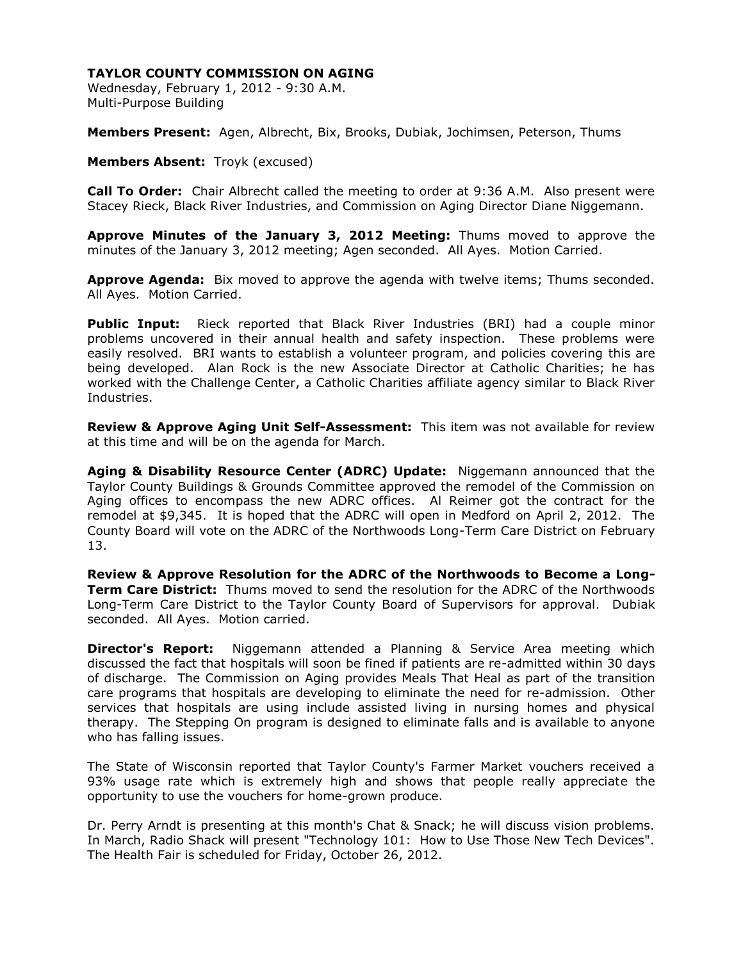Wednesday, February 1, 2012 - 9:30 A.M. Multi-Purpose Building

**Members Present:** Agen, Albrecht, Bix, Brooks, Dubiak, Jochimsen, Peterson, Thums

**Members Absent:** Troyk (excused)

**Call To Order:** Chair Albrecht called the meeting to order at 9:36 A.M. Also present were Stacey Rieck, Black River Industries, and Commission on Aging Director Diane Niggemann.

**Approve Minutes of the January 3, 2012 Meeting:** Thums moved to approve the minutes of the January 3, 2012 meeting; Agen seconded. All Ayes. Motion Carried.

**Approve Agenda:** Bix moved to approve the agenda with twelve items; Thums seconded. All Ayes. Motion Carried.

**Public Input:** Rieck reported that Black River Industries (BRI) had a couple minor problems uncovered in their annual health and safety inspection. These problems were easily resolved. BRI wants to establish a volunteer program, and policies covering this are being developed. Alan Rock is the new Associate Director at Catholic Charities; he has worked with the Challenge Center, a Catholic Charities affiliate agency similar to Black River Industries.

**Review & Approve Aging Unit Self-Assessment:** This item was not available for review at this time and will be on the agenda for March.

**Aging & Disability Resource Center (ADRC) Update:** Niggemann announced that the Taylor County Buildings & Grounds Committee approved the remodel of the Commission on Aging offices to encompass the new ADRC offices. Al Reimer got the contract for the remodel at \$9,345. It is hoped that the ADRC will open in Medford on April 2, 2012. The County Board will vote on the ADRC of the Northwoods Long-Term Care District on February 13.

**Review & Approve Resolution for the ADRC of the Northwoods to Become a Long-Term Care District:** Thums moved to send the resolution for the ADRC of the Northwoods Long-Term Care District to the Taylor County Board of Supervisors for approval. Dubiak seconded. All Ayes. Motion carried.

**Director's Report:** Niggemann attended a Planning & Service Area meeting which discussed the fact that hospitals will soon be fined if patients are re-admitted within 30 days of discharge. The Commission on Aging provides Meals That Heal as part of the transition care programs that hospitals are developing to eliminate the need for re-admission. Other services that hospitals are using include assisted living in nursing homes and physical therapy. The Stepping On program is designed to eliminate falls and is available to anyone who has falling issues.

The State of Wisconsin reported that Taylor County's Farmer Market vouchers received a 93% usage rate which is extremely high and shows that people really appreciate the opportunity to use the vouchers for home-grown produce.

Dr. Perry Arndt is presenting at this month's Chat & Snack; he will discuss vision problems. In March, Radio Shack will present "Technology 101: How to Use Those New Tech Devices". The Health Fair is scheduled for Friday, October 26, 2012.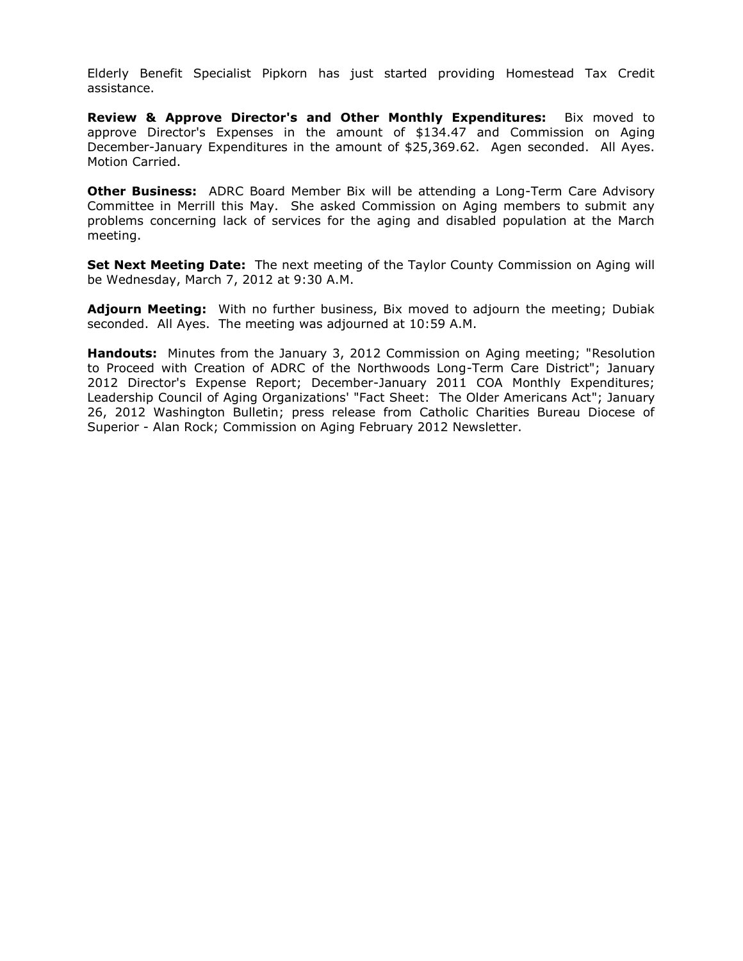Elderly Benefit Specialist Pipkorn has just started providing Homestead Tax Credit assistance.

**Review & Approve Director's and Other Monthly Expenditures:** Bix moved to approve Director's Expenses in the amount of \$134.47 and Commission on Aging December-January Expenditures in the amount of \$25,369.62. Agen seconded. All Ayes. Motion Carried.

**Other Business:** ADRC Board Member Bix will be attending a Long-Term Care Advisory Committee in Merrill this May. She asked Commission on Aging members to submit any problems concerning lack of services for the aging and disabled population at the March meeting.

**Set Next Meeting Date:** The next meeting of the Taylor County Commission on Aging will be Wednesday, March 7, 2012 at 9:30 A.M.

**Adjourn Meeting:** With no further business, Bix moved to adjourn the meeting; Dubiak seconded. All Ayes. The meeting was adjourned at 10:59 A.M.

**Handouts:** Minutes from the January 3, 2012 Commission on Aging meeting; "Resolution to Proceed with Creation of ADRC of the Northwoods Long-Term Care District"; January 2012 Director's Expense Report; December-January 2011 COA Monthly Expenditures; Leadership Council of Aging Organizations' "Fact Sheet: The Older Americans Act"; January 26, 2012 Washington Bulletin; press release from Catholic Charities Bureau Diocese of Superior - Alan Rock; Commission on Aging February 2012 Newsletter.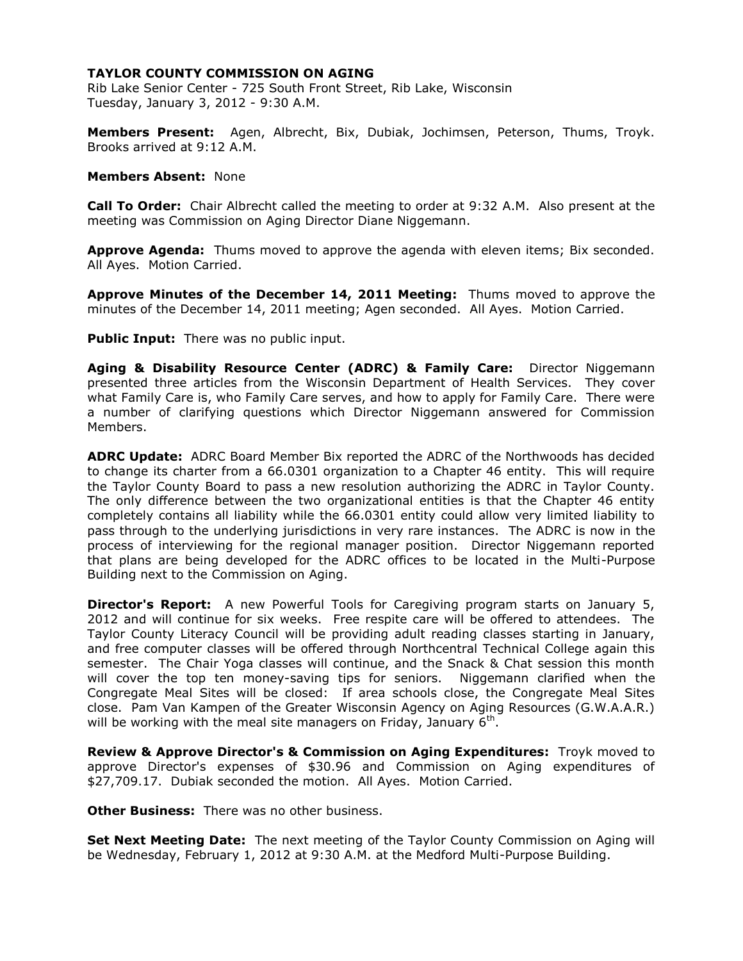Rib Lake Senior Center - 725 South Front Street, Rib Lake, Wisconsin Tuesday, January 3, 2012 - 9:30 A.M.

**Members Present:** Agen, Albrecht, Bix, Dubiak, Jochimsen, Peterson, Thums, Troyk. Brooks arrived at 9:12 A.M.

#### **Members Absent:** None

**Call To Order:** Chair Albrecht called the meeting to order at 9:32 A.M. Also present at the meeting was Commission on Aging Director Diane Niggemann.

**Approve Agenda:** Thums moved to approve the agenda with eleven items; Bix seconded. All Ayes. Motion Carried.

**Approve Minutes of the December 14, 2011 Meeting:** Thums moved to approve the minutes of the December 14, 2011 meeting; Agen seconded. All Ayes. Motion Carried.

**Public Input:** There was no public input.

**Aging & Disability Resource Center (ADRC) & Family Care:** Director Niggemann presented three articles from the Wisconsin Department of Health Services. They cover what Family Care is, who Family Care serves, and how to apply for Family Care. There were a number of clarifying questions which Director Niggemann answered for Commission Members.

**ADRC Update:** ADRC Board Member Bix reported the ADRC of the Northwoods has decided to change its charter from a 66.0301 organization to a Chapter 46 entity. This will require the Taylor County Board to pass a new resolution authorizing the ADRC in Taylor County. The only difference between the two organizational entities is that the Chapter 46 entity completely contains all liability while the 66.0301 entity could allow very limited liability to pass through to the underlying jurisdictions in very rare instances. The ADRC is now in the process of interviewing for the regional manager position. Director Niggemann reported that plans are being developed for the ADRC offices to be located in the Multi-Purpose Building next to the Commission on Aging.

**Director's Report:** A new Powerful Tools for Caregiving program starts on January 5, 2012 and will continue for six weeks. Free respite care will be offered to attendees. The Taylor County Literacy Council will be providing adult reading classes starting in January, and free computer classes will be offered through Northcentral Technical College again this semester. The Chair Yoga classes will continue, and the Snack & Chat session this month will cover the top ten money-saving tips for seniors. Niggemann clarified when the Congregate Meal Sites will be closed: If area schools close, the Congregate Meal Sites close. Pam Van Kampen of the Greater Wisconsin Agency on Aging Resources (G.W.A.A.R.) will be working with the meal site managers on Friday, January  $6<sup>th</sup>$ .

**Review & Approve Director's & Commission on Aging Expenditures:** Troyk moved to approve Director's expenses of \$30.96 and Commission on Aging expenditures of \$27,709.17. Dubiak seconded the motion. All Ayes. Motion Carried.

**Other Business:** There was no other business.

**Set Next Meeting Date:** The next meeting of the Taylor County Commission on Aging will be Wednesday, February 1, 2012 at 9:30 A.M. at the Medford Multi-Purpose Building.